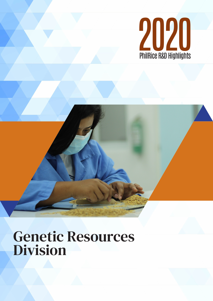

# Genetic Resources Division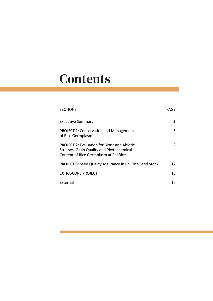# **Contents**

| <b>SECTIONS</b>                                                                                                                           | PAGE |
|-------------------------------------------------------------------------------------------------------------------------------------------|------|
| <b>Executive Summary</b>                                                                                                                  | 3    |
| <b>PROJECT 1: Conservation and Management</b><br>of Rice Germplasm                                                                        | 5    |
| <b>PROJECT 2: Evaluation for Biotic and Abiotic</b><br>Stresses, Grain Quality and Phytochemical<br>Content of Rice Germplasm at PhilRice | 8    |
| <b>PROJECT 3: Seed Quality Assurance in PhilRice Seed Stock</b>                                                                           | 12   |
| EXTRA-CORE PROJECT                                                                                                                        | 15   |
| <b>External</b>                                                                                                                           | 16   |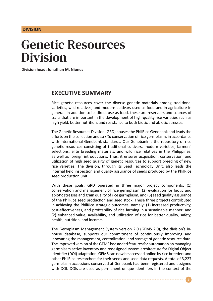#### **DIVISION**

# Genetic Resources Division

**Division head: Jonathan M. Niones**

### **EXECUTIVE SUMMARY**

Rice genetic resources cover the diverse genetic materials among traditional varieties, wild relatives, and modern cultivars used as food and in agriculture in general. In addition to its direct use as food, these are reservoirs and sources of traits that are important in the development of high-quality rice varieties such as high yield, better nutrition, and resistance to both biotic and abiotic stresses.

The Genetic Resources Division (GRD) houses the PhilRice Genebank and leads the efforts on the collection and *ex situ* conservation of rice germplasm, in accordance with international Genebank standards. Our Genebank is the repository of rice genetic resources consisting of traditional cultivars, modern varieties, farmers' selections, elite breeding materials, and wild rice relatives in the Philippines, as well as foreign introductions. Thus, it ensures acquisition, conservation, and utilization of high seed quality of genetic resources to support breeding of new rice varieties. The division, through its Seed Technology Unit, also leads the internal field inspection and quality assurance of seeds produced by the PhilRice seed production unit.

With these goals, GRD operated in three major project components: (1) conservation and management of rice germplasm, (2) evaluation for biotic and abiotic stresses and grain quality of rice germplasm, and (3) seed quality assurance of the PhilRice seed production and seed stock. These three projects contributed in achieving the PhilRice strategic outcomes, namely: (1) increased productivity, cost-effectiveness, and profitability of rice farming in a sustainable manner; and (2) enhanced value, availability, and utilization of rice for better quality, safety, health, nutrition, and income.

The Germplasm Management System version 2.0 (GEMS 2.0), the division's inhouse database, supports our commitment of continuously improving and innovating the management, centralization, and storage of genetic resource data. The improved version of the GEMS had added features for automation on managing germplasm active inventory and redesigned system architecture for Digital Object Identifier (DOI) adaptation. GEMS can now be accessed online by rice breeders and other PhilRice researchers for their seeds and seed data requests. A total of 3,227 germplasm accessions conserved at Genebank had been registered and assigned with DOI. DOIs are used as permanent unique identifiers in the context of the

**3**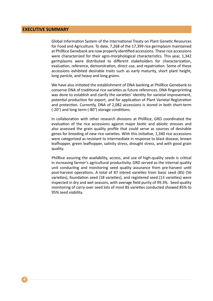#### **EXECUTIVE SUMMARY**

Global Information System of the International Treaty on Plant Genetic Resources for Food and Agriculture. To date, 7,268 of the 17,399 rice germplasm maintained at PhilRice Genebank are now properly identified accessions. These rice accessions were characterized for their agro-morphological characteristics. This year, 1,342 germplasms were distributed to different stakeholders for characterization, evaluation, reference, demonstration, direct use, and repatriation. Some of these accessions exhibited desirable traits such as early maturity, short plant height, long panicle, and heavy and long grains.

We have also initiated the establishment of DNA banking at PhilRice Genebank to conserve DNA of traditional rice varieties as future references. DNA fingerprinting was done to establish and clarify the varieties' identity for varietal improvement, potential production for export, and for application of Plant Varietal Registration and protection. Currently, DNA of 2,082 accessions is stored in both short-term (-20°) and long-term (-80°) storage conditions.

In collaboration with other research divisions at PhilRice, GRD coordinated the evaluation of the rice accessions against major biotic and abiotic stresses and also assessed the grain quality profile that could serve as sources of desirable genes for breeding of new rice varieties. With this initiative, 1,340 rice accessions were categorized as resistant to intermediate in response to blast disease, brown leafhopper, green leafhopper, salinity stress, drought stress, and with good grain quality.

PhilRice assuring the availability, access, and use of high-quality seeds is critical in increasing farmer's agricultural productivity. GRD served as the internal quality unit conducting and monitoring seed quality assurance from pre-harvest until post-harvest operations. A total of 87 inbred varieties from basic seed (BS) (56 varieties), foundation seed (18 varieties), and registered seed (13 varieties) were inspected in dry and wet seasons, with average field purity of 99.3%. Seed quality monitoring of carry-over seed lots of most BS varieties conducted showed 85% to 95% seed viability.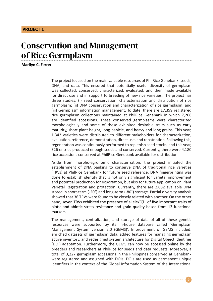## Conservation and Management of Rice Germplasm

**Marilyn C. Ferrer**

The project focused on the main valuable resources of PhilRice Genebank: seeds, DNA, and data. This ensured that potentially useful diversity of germplasm was collected, conserved, characterized, evaluated, and then made available for direct use and in support to breeding of new rice varieties. The project has three studies: (i) Seed conservation, characterization and distribution of rice germplasm; (ii) DNA conservation and characterization of rice germplasm; and (iii) Germplasm information management. To date, there are 17,399 registered rice germplasm collections maintained at PhilRice Genebank in which 7,268 are identified accessions. These conserved germplasms were characterized morphologically and some of these exhibited desirable traits such as early maturity, short plant height, long panicle, and heavy and long grains. This year, 1,342 varieties were distributed to different stakeholders for characterization, evaluation, reference, demonstration, direct use, and repatriation. Following this, regeneration was continuously performed to replenish seed stocks, and this year, 326 entries produced enough seeds and conserved. Currently, there were 4,180 rice accessions conserved at PhilRice Genebank available for distribution.

Aside from morpho-agronomic characterization, the project initiated the establishment of DNA banking to conserve DNA of traditional rice varieties (TRVs) at PhilRice Genebank for future seed reference. DNA fingerprinting was done to establish identity that is not only significant for varietal improvement and potential production for exportation, but also for future application on Plant Varietal Registration and protection. Currently, there are 2,082 available DNA stored in short-term (-20°) and long-term (-80°) storage. Partial diversity analysis showed that 36 TRVs were found to be closely related with another. On the other hand, seven TRVs exhibited the presence of allele/QTL of five important traits of biotic and abiotic stress resistance and grain quality based from 13 functional markers.

The management, centralization, and storage of data of all of these genetic resources were supported by its in-house database called 'Germplasm Management System version 2.0 (GEMS)'. Improvement of GEMS included: enriched datasets of germplasm data, added features for managing germplasm active inventory, and redesigned system architecture for Digital Object Identifier (DOI) adaptation. Furthermore, the GEMS can now be accessed online by the breeders and researchers at PhilRice for seeds and data requests. Moreover, a total of 3,227 germplasm accessions in the Philippines conserved at Genebank were registered and assigned with DOIs. DOIs are used as permanent unique identifiers in the context of the Global Information System of the International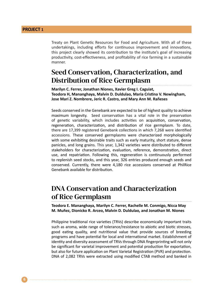Treaty on Plant Genetic Resources for Food and Agriculture. With all of these undertakings, including efforts for continuous improvement and innovations, this project clearly showed its contribution to the institute's goal of increasing productivity, cost-effectiveness, and profitability of rice farming in a sustainable manner.

### Seed Conservation, Characterization, and Distribution of Rice Germplasm

**Marilyn C. Ferrer, Jonathan Niones, Xavier Greg I. Caguiat, Teodora H, Mananghaya, Malvin D. Duldulao, Maria Cristina V. Newingham, Jose Mari Z. Nombrere, Jeric R. Castro, and Mary Ann M. Rañeses**

Seeds conserved in the Genebank are expected to be of highest quality to achieve maximum longevity. Seed conservation has a vital role in the preservation of genetic variability, which includes activities on acquisition, conservation, regeneration, characterization, and distribution of rice germplasm. To date, there are 17,399 registered Genebank collections in which 7,268 were identified accessions. These conserved germplasms were characterized morphologically with some exhibiting desirable traits such as early maturity, short stature, dense panicles, and long grains. This year, 1,342 varieties were distributed to different stakeholders for characterization, evaluation, reference, demonstration, direct use, and repatriation. Following this, regeneration is continuously performed to replenish seed stocks, and this year, 326 entries produced enough seeds and conserved. Currently, there were 4,180 rice accessions conserved at PhilRice Genebank available for distribution.

#### DNA Conservation and Characterization of Rice Germplasm

**Teodora E. Mananghaya, Marilyn C. Ferrer, Rachelle M. Conmigo, Nicca May M. Muñez, Dionicko R. Arceo, Malvin D. Duldulao, and Jonathan M. Niones**

Philippine traditional rice varieties (TRVs) describe economically important traits such as aroma, wide range of tolerance/resistance to abiotic and biotic stresses, good eating quality, and nutritional value that provide sources of breeding programs and have potential for local and international market. Establishment of identity and diversity assessment of TRVs through DNA fingerprinting will not only be significant for varietal improvement and potential production for exportation, but also for future application on Plant Varietal Registration (PVR) and protection. DNA of 2,082 TRVs were extracted using modified CTAB method and banked in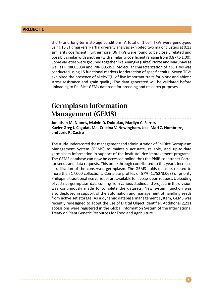short- and long-term storage conditions. A total of 1,054 TRVs were genotyped using 16 STR markers. Partial diversity analysis exhibited two major clusters at 0.13 similarity coefficient. Furthermore, 36 TRVs were found to be closely related and possibly similar with another (with similarity coefficient ranging from 0.87 to 1.00). Some varieties were grouped together like Anangka (Diket) Norte and Marunaw as well as PRRI005034 and PRRI005053. Molecular characterization of 738 TRVs was conducted using 15 functional markers for detection of specific traits. Seven TRVs exhibited the presence of allele/QTL of five important traits for biotic and abiotic stress resistance and grain quality. The data generated will be validated before uploading to PhilRice-GEMs database for breeding and research purposes.

### Germplasm Information Management (GEMS)

**Jonathan M. Niones, Malvin D. Duldulao, Marilyn C. Ferrer, Xavier Greg I. Caguiat, Ma. Cristina V. Newingham, Jose Mari Z. Nombrere, and Jeric R. Castro**

The study underscored the management and administration of PhilRice Germplasm Management System (GEMS) to maintain accurate, reliable, and up-to-date germplasm information in support of the institute' rice improvement programs. The GEMS database can now be accessed online thru the PhilRice Intranet Portal for seeds and data requests. This breakthrough contributed to this year's increase in utilization of the conserved germplasm. The GEMS holds datasets related to more than 17,000 collections. Complete profiles of 57% (1,752/3,063) of priority Philippine traditional rice varieties are available for access upon request. Uploading of vast rice germplasm data coming from various studies and projects in the division was continuously made to complete the datasets. New system function was also deployed in support of the automation and management of handling seeds from active set storage. As a dynamic database management system, GEMS was recently redesigned to adopt the use of Digital Object Identifier. Additional 2,211 accessions were registered in the Global Information System of the International Treaty on Plant Genetic Resources for Food and Agriculture.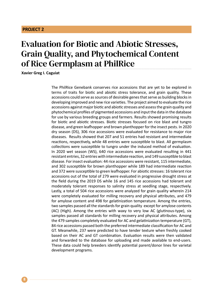## Evaluation for Biotic and Abiotic Stresses, Grain Quality, and Phytochemical Content of Rice Germplasm at PhilRice

**Xavier Greg I. Caguiat**

The PhilRice Genebank conserves rice accessions that are yet to be explored in terms of traits for biotic and abiotic stress tolerance, and grain quality. These accessions could serve as sources of desirable genes that serve as building blocks in developing improved and new rice varieties. The project aimed to evaluate the rice accessions against major biotic and abiotic stresses and assess the grain quality and phytochemical profiles of pigmented accessions and input the data in the database for use by various breeding groups and farmers. Results showed promising results for biotic and abiotic stresses. Biotic stresses focused on rice blast and tungro disease, and green leafhopper and brown planthopper for the insect pests. In 2020 dry season (DS), 306 rice accessions were evaluated for resistance to major rice diseases. Results showed that 207 and 51 entries had resistant and intermediate reactions, respectively, while 48 entries were susceptible to blast. All germplasm collections were susceptible to tungro under the induced method of evaluation. In 2020 wet season (WS), 640 rice accessions were evaluated resulting in 441 resistant entries, 32 entries with intermediate reaction, and 149 susceptible to blast disease. For insect evaluation: 44 rice accessions were resistant, 115 intermediate, and 302 susceptible for brown planthopper while 189 had intermediate reaction and 372 were susceptible to green leafhopper. For abiotic stresses: 16 tolerant rice accessions out of the total of 279 were evaluated in progressive drought stress at the field during the 2019 DS while 16 and 145 rice accessions had tolerant and moderately tolerant responses to salinity stress at seedling stage, respectively. Lastly, a total of 504 rice accessions were analyzed for grain quality wherein 214 were completely evaluated for milling recovery and physical attributes, and 479 for amylose content and 498 for gelatinization temperature. Among the entries, two samples passed all the standards for grain quality except for amylose contents (AC) (High). Among the entries with waxy to very low AC (glutinous-type), six samples passed all standards for milling recovery and physical attributes. Among the 479 samples completely evaluated for AC and gelatinization temperature (GT), 84 rice accessions passed both the preferred intermediate classification for AC and GT. Meanwhile, 237 were predicted to have tender texture when freshly cooked based on their AC and GT combination. Evaluation results were then validated and forwarded to the database for uploading and made available to end-users. These data could help breeders identify potential parent/donor lines for varietal development programs.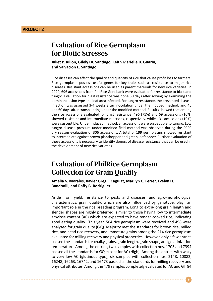### Evaluation of Rice Germplasm for Biotic Stresses

**Juliet P. Rillon, Gilely DC Santiago, Keith Marielle B. Guarin, and Salvacion E. Santiago**

Rice diseases can affect the quality and quantity of rice that cause profit loss to farmers. Rice germplasm possess useful genes for key traits such as resistance to major rice diseases. Resistant accessions can be used as parent materials for new rice varieties. In 2020, 696 accessions from PhilRice Genebank were evaluated for resistance to blast and tungro. Evaluation for blast resistance was done 30 days after sowing by examining the dominant lesion type and leaf area infected. For tungro resistance, the prevented disease infection was assessed 3-4 weeks after inoculation under the induced method, and 45 and 60 days after transplanting under the modified method. Results showed that among the rice accessions evaluated for blast resistance, 496 (71%) and 69 accessions (10%) showed resistant and intermediate reactions, respectively, while 131 accessions (19%) were susceptible. Under induced method, all accessions were susceptible to tungro. Low tungro disease pressure under modified field method was observed during the 2020 dry season evaluation of 306 accessions. A total of 199 germplasms showed resistant to intermediate against brown planthopper and green leafhopper. Further evaluation of these accessions is necessary to identify donors of disease resistance that can be used in the development of new rice varieties.

### Evaluation of PhilRice Germplasm Collection for Grain Quality

**Amelia V. Morales, Xavier Greg I. Caguiat, Marilyn C. Ferrer, Evelyn H. Bandonill, and Raffy B. Rodriguez**

Aside from yield, resistance to pests and diseases, and agro-morphological characteristics, grain quality, which are also influenced by genotype, play an important role in the rice breeding program. Long to extra-long grain length and slender shapes are highly preferred, similar to those having low to intermediate amylose content (AC) which are expected to have tender cooked rice, indicating good eating quality. This year, 504 rice germplasm were received and 498 were analyzed for grain quality (GQ). Majority met the standards for brown rice, milled rice, and head rice recovery, and immature grains among the 214 rice germplasm evaluated for milling recovery and physical properties. However, only a few entries passed the standards for chalky grains, grain length, grain shape, and gelatinization temperature. Among the entries, two samples with collection nos. 1703 and 7394 passed all the standards for GQ except for AC (High). Among the entries with waxy to very low AC (glutinous-type), six samples with collection nos. 2148, 10882, 16248, 16263, 16742, and 16473 passed all the standards for milling recovery and physical attributes. Among the 479 samples completely evaluated for AC and GT, 84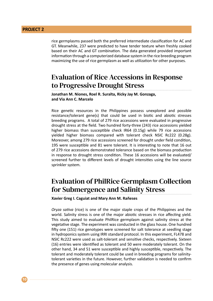rice germplasms passed both the preferred intermediate classification for AC and GT. Meanwhile, 237 were predicted to have tender texture when freshly cooked based on their AC and GT combination. The data generated provided important information through a computerized database system in the rice breeding program maximizing the use of rice germplasm as well as utilization for other purposes.

### Evaluation of Rice Accessions in Response to Progressive Drought Stress

**Jonathan M. Niones, Roel R. Suralta, Ricky Jay M. Gonzaga, and Via Ann C. Marcelo**

Rice genetic resources in the Philippines possess unexplored and possible resistance/tolerant gene(s) that could be used in biotic and abiotic stresses breeding programs. A total of 279 rice accessions were evaluated in progressive drought stress at the field. Two hundred forty-three (243) rice accessions yielded higher biomass than susceptible check IR64 (0.15g) while 79 rice accessions yielded higher biomass compared with tolerant check NSIC Rc222 (0.28g). Moreover, among 279 rice accessions screened for drought under field condition, 195 were susceptible and 81 were tolerant. It is interesting to note that 16 out of 279 rice accessions demonstrated tolerance based on the biomass production in response to drought stress condition. These 16 accessions will be evaluated/ screened further to different levels of drought intensities using the line source sprinkler system.

### Evaluation of PhilRice Germplasm Collection for Submergence and Salinity Stress

**Xavier Greg I. Caguiat and Mary Ann M. Rañeses**

*Oryza sativa* (rice) is one of the major staple crops of the Philippines and the world. Salinity stress is one of the major abiotic stresses in rice affecting yield. This study aimed to evaluate PhilRice germplasm against salinity stress at the vegetative stage. The experiment was conducted in the glass house. One hundred fifty one (151) rice genotypes were screened for salt tolerance at seedling stage in hydroponics system using IRRI standard protocol. In this experiment, FL478 and NSIC Rc222 were used as salt-tolerant and sensitive checks, respectively. Sixteen (16) entries were identified as tolerant and 50 were moderately tolerant. On the other hand, 34 and 51 were susceptible and highly susceptible, respectively. The tolerant and moderately tolerant could be used in breeding programs for salinitytolerant varieties in the future. However, further validation is needed to confirm the presence of genes using molecular analysis.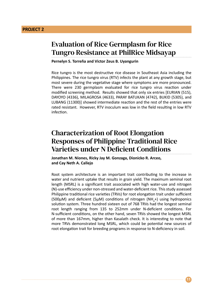### Evaluation of Rice Germplasm for Rice Tungro Resistance at PhilRice Midsayap

#### **Pernelyn S. Torreña and Victor Zeus B. Uyangurin**

Rice tungro is the most destructive rice disease in Southeast Asia including the Philippines. The rice tungro virus (RTV) infects the plant at any growth stage, but most severe during the vegetative stage where symptoms are more pronounced. There were 230 germplasm evaluated for rice tungro virus reaction under modified screening method. Results showed that only six entries [EURIAN (515), DAYOYO (4336), MILAGROSA (4633), PARAY BATUKAN (4742), BUKID (5305), and LUBANG (11300)] showed intermediate reaction and the rest of the entries were rated resistant. However, RTV inoculum was low in the field resulting in low RTV infection.

### Characterization of Root Elongation Responses of Philippine Traditional Rice Varieties under N Deficient Conditions

**Jonathan M. Niones, Ricky Jay M. Gonzaga, Dionicko R. Arceo, and Cay Neth A. Callejo**

Root system architecture is an important trait contributing to the increase in water and nutrient uptake that results in grain yield. The maximum seminal root length (MSRL) is a significant trait associated with high water-use and nitrogen (N)-use efficiency under non-stressed and water-deficient rice. This study assessed Philippine traditional rice varieties (TRVs) for root elongation trait under sufficient (500 $\mu$ M) and deficient (5 $\mu$ M) conditions of nitrogen (NH<sub>4</sub>+) using hydroponics solution system. Three hundred sixteen out of 768 TRVs had the longest seminal root length ranging from 135 to 252mm under N-deficient conditions. For N-sufficient conditions, on the other hand, seven TRVs showed the longest MSRL of more than 167mm, higher than Kasalath check. It is interesting to note that more TRVs demonstrated long MSRL, which could be potential new sources of root elongation trait for breeding programs in response to N-deficiency in soil.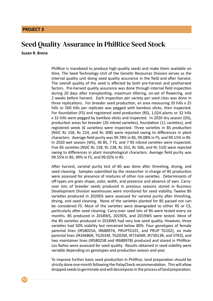### Seed Quality Assurance in PhilRice Seed Stock

#### **Susan R. Brena**

PhilRice is mandated to produce high-quality seeds and make them available on time. The Seed Technology Unit of the Genetic Resources Division serves as the internal quality unit doing seed quality assurance in the field and after harvest. The overall quality of the seed is affected by both pre-harvest and postharvest factors. Pre-harvest quality assurance was done through internal field inspection during 20 days after transplanting, maximum tillering, on-set of flowering, and 2 weeks before harvest. Each inspection per variety per seed class was done in three replications. For breeder seed production, an area measuring 20 hills x 25 hills or 500 hills per replicate was pegged with bamboo sticks, then inspected. For foundation (FS) and registered seed production (RS), 1,024 plants or 32 hills x 32 hills were pegged by bamboo sticks and inspected. In 2020 dry season (DS), production areas for breeder (26 inbred varieties), foundation (11 varieties), and registered seeds (6 varieties) were inspected. Three varieties in BS production (NSIC Rc 158, Rc 224, and Rc 308) were rejected owing to differences in plant characters. Average field purity was 99.78% in BS, 99.08% in FS, and 99.15% in RS. In 2020 wet season (WS), 36 BS, 7 FS, and 7 RS inbred varieties were inspected. Five BS varieties (NSIC Rc 158, Rc 238, Rc 352, Rc 506, and Rc 510) were rejected owing to differences in plant morphological characters. Average field purity was 99.55% in BS, 99% in FS, and 99.02% in RS.

After harvest, varietal purity test of BS was done after threshing, drying, and seed cleaning. Samples submitted by the researcher in-charge of BS production were assessed for presence of mixtures of other rice varieties. Determinants of off-types are grain shape, color, width, and presence and absence of awn. Carryover lots of breeder seeds produced in previous seasons stored in Business Development Division warehouses were monitored for seed viability. Twelve BS varieties produced in 2020DS were assessed for varietal purity after threshing, drying, and seed cleaning. None of the varieties planted for BS passed nor can be considered FS. Most of the varieties were downgraded to either RS or CS, particularly after seed cleaning. Carry-over seed lots of BS were tested every six months. BS produced in 2018WS, 2019DS, and 2019WS were tested. Most of the BS varieties produced in 2018WS had very low seed quality. However, three varieties had 50% viability but remained below 80%. Four genotypes of female parental lines (IR58025A, IR68897A, PRUPTG101, and PRUP TG102), six male parental lines (IR34686R, TG201M, TG202M, IR71604R, IR73013R, and STR3), and two maintainer lines (IR58025B and IR68897B) produced and stored in PhilRice-Los Baños were assessed for seed quality. Results obtained in seed viability were variable depending on genotypes and production season and year.

To improve further basic seed production in PhilRice, land preparation should be strictly done one month following the PalayCheck recommendation. This will allow dropped seeds to germinate and will decompose in the process of land preparation.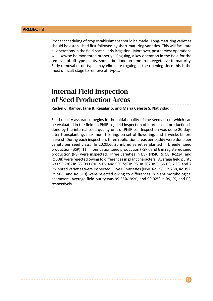Proper scheduling of crop establishment should be made. Long-maturing varieties should be established first followed by short-maturing varieties. This will facilitate all operations in the field particularly irrigation. Moreover, postharvest operations will likewise be monitored properly. Roguing, a key operation in the field for the removal of off-type plants, should be done on time from vegetative to maturity. Early removal of off-types may eliminate roguing at the ripening since this is the most difficult stage to remove off-types.

### Internal Field Inspection of Seed Production Areas

**Rachel C. Ramos, Jane B. Regalario, and Maria Celeste S. Natividad**

Seed quality assurance begins in the initial quality of the seeds used, which can be evaluated in the field. In PhilRice, field inspection of inbred seed production is done by the internal seed quality unit of PhilRice. Inspection was done 20 days after transplanting, maximum tillering, on-set of flowering, and 2 weeks before harvest. During each inspection, three replication areas per paddy were done per variety per seed class. In 2020DS, 26 inbred varieties planted in breeder seed production (BSP), 11 in foundation seed production (FSP), and 6 in registered seed production (RS) were inspected. Three varieties in BSP (NSIC Rc 58, Rc224, and Rc308) were rejected owing to differences in plant characters. Average field purity was 99.78% in BS, 99.08% in FS, and 99.15% in RS. In 2020WS, 36 BS, 7 FS, and 7 RS inbred varieties were inspected. Five BS varieties (NSIC Rc 158, Rc 238, Rc 352, Rc 506, and Rc 510) were rejected owing to differences in plant morphological characters. Average field purity was 99.55%, 99%, and 99.02% in BS, FS, and RS, respectively.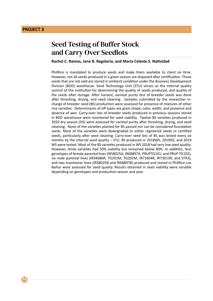**14**

### Seed Testing of Buffer Stock and Carry Over Seedlots

#### **Rachel C. Ramos, Jane B. Regalario, and Maria Celeste S. Natividad**

PhilRice is mandated to produce seeds and make them available to client on time. However, not all seeds produced in a given season are disposed after certification. Those seeds that are not sold are stored in ambient condition under the Business Development Division (BDD) warehouse. Seed Technology Unit (STU) serves as the internal quality control of the institution for determining the quality of seeds produced, and quality of the seeds after storage. After harvest, varietal purity test of breeder seeds was done after threshing, drying, and seed cleaning. Samples submitted by the researcher incharge of breeder seed (BS) production were assessed for presence of mixtures of other rice varieties. Determinants of off-types are grain shape, color, width, and presence and absence of awn. Carry-over lots of breeder seeds produced in previous seasons stored in BDD warehouse were monitored for seed viability. Twelve BS varieties produced in 2020 dry season (DS) were assessed for varietal purity after threshing, drying, and seed cleaning. None of the varieties planted for BS passed nor can be considered foundation seeds. Most of the varieties were downgraded to either registered seeds or certified seeds, particularly after seed cleaning. Carry-over seed lots of BS was tested every six months by the internal seed quality – STU. BS produced in 2018WS, 2019DS, and 2019 WS were tested. Most of the BS varieties produced in WS 2018 had very low seed quality. However, three varieties had 50% viability but remained below 80%. In addition, four genotypes of female parental lines (IR58025A, IR68897A, PRUPTG101, and PRUP TG102), six male parental lines (IR34686R, TG201M, TG202M, IR71604R, IR73013R, and STR3), and two maintainer lines (IR58025B and IR68897B) produced and stored in PhilRice-Los Baños were assessed for seed quality. Results obtained in seed viability were variable depending on genotypes and production season and year.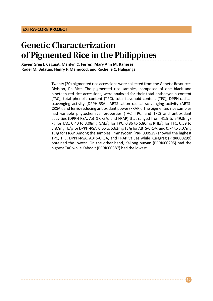# Genetic Characterization of Pigmented Rice in the Philippines

#### **Xavier Greg I. Caguiat, Marilyn C. Ferrer, Mary Ann M. Rañeses, Rodel M. Bulatao, Henry F. Mamucod, and Rochelle C. Huliganga**

Twenty (20) pigmented rice accessions were collected from the Genetic Resources Division, PhilRice. The pigmented rice samples, composed of one black and nineteen red rice accessions, were analyzed for their total anthocyanin content (TAC), total phenolic content (TPC), total flavonoid content (TFC), DPPH-radical scavenging activity (DPPH-RSA), ABTS-cation radical scavenging activity (ABTS-CRSA), and ferric-reducing antioxidant power (FRAP). The pigmented rice samples had variable phytochemical properties (TAC, TPC, and TFC) and antioxidant activities (DPPH-RSA, ABTS-CRSA, and FRAP) that ranged from 41.9 to 549.3mg/ kg for TAC, 0.40 to 3.08mg GAE/g for TPC, 0.86 to 5.80mg RHE/g for TFC, 0.59 to 5.87mg TE/g for DPPH-RSA, 0.65 to 5.62mg TE/g for ABTS-CRSA, and 0.74 to 5.07mg TE/g for FRAP. Among the samples, Immayocan (PRRI000529) showed the highest TPC, TFC, DPPH-RSA, ABTS-CRSA, and FRAP values while Kuragrag (PRRI000299) obtained the lowest. On the other hand, Kallong buwan (PRRI000295) had the highest TAC while Kabodit (PRRI000387) had the lowest.